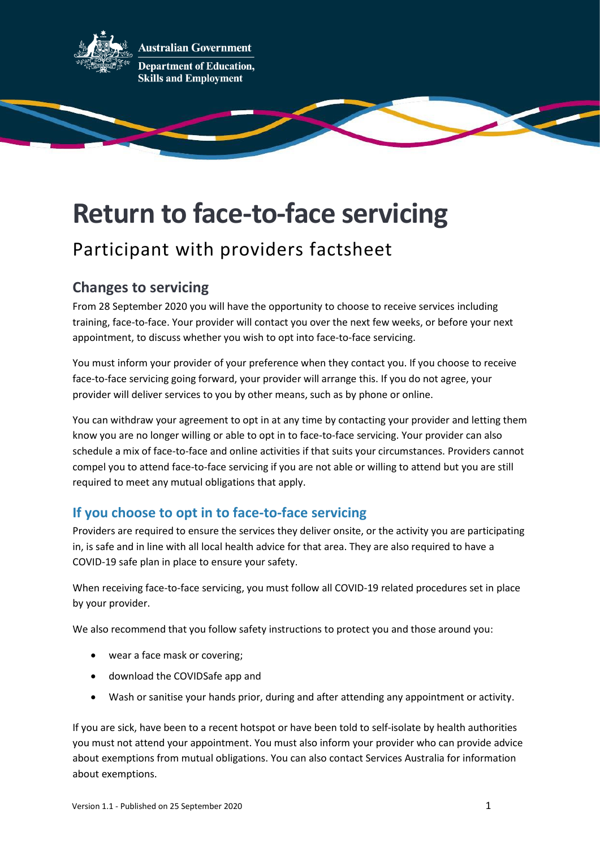

**ustralian Government Department of Education, Skills and Employment** 

# **Return to face-to-face servicing**

## Participant with providers factsheet

### **Changes to servicing**

From 28 September 2020 you will have the opportunity to choose to receive services including training, face-to-face. Your provider will contact you over the next few weeks, or before your next appointment, to discuss whether you wish to opt into face-to-face servicing.

You must inform your provider of your preference when they contact you. If you choose to receive face-to-face servicing going forward, your provider will arrange this. If you do not agree, your provider will deliver services to you by other means, such as by phone or online.

You can withdraw your agreement to opt in at any time by contacting your provider and letting them know you are no longer willing or able to opt in to face-to-face servicing. Your provider can also schedule a mix of face-to-face and online activities if that suits your circumstances. Providers cannot compel you to attend face-to-face servicing if you are not able or willing to attend but you are still required to meet any mutual obligations that apply.

#### **If you choose to opt in to face-to-face servicing**

Providers are required to ensure the services they deliver onsite, or the activity you are participating in, is safe and in line with all local health advice for that area. They are also required to have a COVID-19 safe plan in place to ensure your safety.

When receiving face-to-face servicing, you must follow all COVID-19 related procedures set in place by your provider.

We also recommend that you follow safety instructions to protect you and those around you:

- wear a face mask or covering;
- download the COVIDSafe app and
- Wash or sanitise your hands prior, during and after attending any appointment or activity.

If you are sick, have been to a recent hotspot or have been told to self-isolate by health authorities you must not attend your appointment. You must also inform your provider who can provide advice about exemptions from mutual obligations. You can also contact Services Australia for information about exemptions.